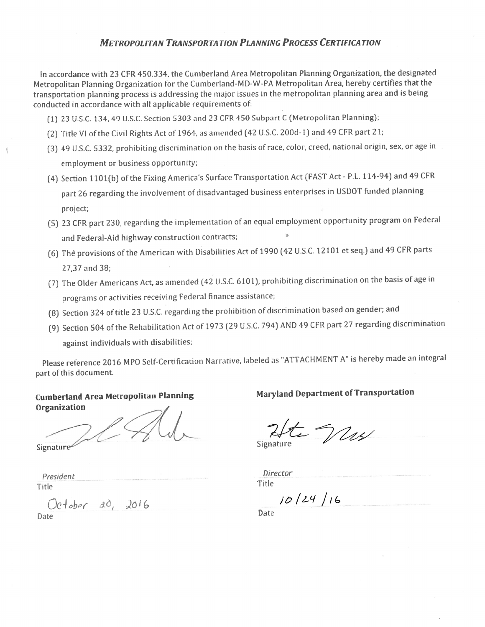# **METROPOLITAN TRANSPORTATION PLANNING PROCESS CERTIFICATION**

In accordance with 23 CFR 450.334, the Cumberland Area Metropolitan Planning Organization, the designated Metropolitan Planning Organization for the Cumberland-MD-W-PA Metropolitan Area, hereby certifies that the transportation planning process is addressing the major issues in the metropolitan planning area and is being conducted in accordance with all applicable requirements of:

- (1) 23 U.S.C. 134, 49 U.S.C. Section 5303 and 23 CFR 450 Subpart C (Metropolitan Planning);
- (2) Title VI of the Civil Rights Act of 1964, as amended (42 U.S.C. 200d-1) and 49 CFR part 21;
- (3) 49 U.S.C. 5332, prohibiting discrimination on the basis of race, color, creed, national origin, sex, or age in employment or business opportunity;
- (4) Section 1101(b) of the Fixing America's Surface Transportation Act (FAST Act P.L. 114-94) and 49 CFR part 26 regarding the involvement of disadvantaged business enterprises in USDOT funded planning project;
- (5) 23 CFR part 230, regarding the implementation of an equal employment opportunity program on Federal and Federal-Aid highway construction contracts;
- (6) The provisions of the American with Disabilities Act of 1990 (42 U.S.C. 12101 et seq.) and 49 CFR parts 27,37 and 38;
- (7) The Older Americans Act, as amended (42 U.S.C. 6101), prohibiting discrimination on the basis of age in programs or activities receiving Federal finance assistance;
- (8) Section 324 of title 23 U.S.C. regarding the prohibition of discrimination based on gender; and
- (9) Section 504 of the Rehabilitation Act of 1973 (29 U.S.C. 794) AND 49 CFR part 27 regarding discrimination against individuals with disabilities;

Please reference 2016 MPO Self-Certification Narrative, labeled as "ATTACHMENT A" is hereby made an integral part of this document.

# **Cumberland Area Metropolitan Planning** Organization

Signature

President Title

 $201$ ober 20,  $2016$ 

Date

**Maryland Department of Transportation** 

 $\frac{L}{2}$ 

Signature

Director Title

 $10/24/16$ 

Date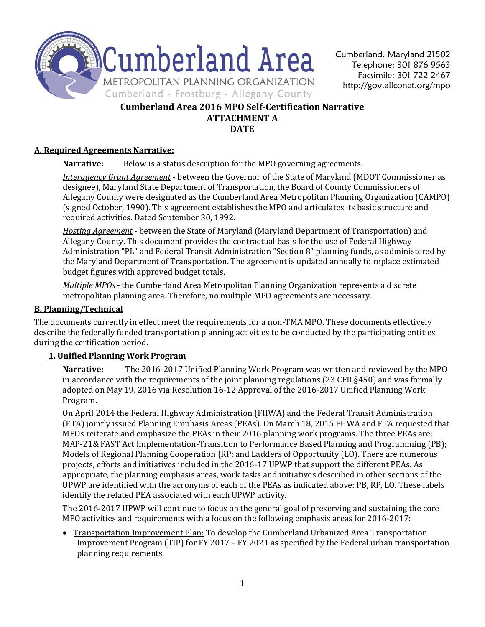

# **Cumberland Area 2016 MPO Self-Certification Narrative ATTACHMENT A DATE**

# **A. Required Agreements Narrative:**

**Narrative:** Below is a status description for the MPO governing agreements.

*Interagency Grant Agreement* - between the Governor of the State of Maryland (MDOT Commissioner as designee), Maryland State Department of Transportation, the Board of County Commissioners of Allegany County were designated as the Cumberland Area Metropolitan Planning Organization (CAMPO) (signed October, 1990). This agreement establishes the MPO and articulates its basic structure and required activities. Dated September 30, 1992.

*Hosting Agreement* - between the State of Maryland (Maryland Department of Transportation) and Allegany County. This document provides the contractual basis for the use of Federal Highway Administration "PL" and Federal Transit Administration "Section 8" planning funds, as administered by the Maryland Department of Transportation. The agreement is updated annually to replace estimated budget figures with approved budget totals.

*Multiple MPOs* - the Cumberland Area Metropolitan Planning Organization represents a discrete metropolitan planning area. Therefore, no multiple MPO agreements are necessary.

# **B. Planning/Technical**

The documents currently in effect meet the requirements for a non-TMA MPO. These documents effectively describe the federally funded transportation planning activities to be conducted by the participating entities during the certification period.

# **1. Unified Planning Work Program**

**Narrative:** The 2016-2017 Unified Planning Work Program was written and reviewed by the MPO in accordance with the requirements of the joint planning regulations (23 CFR §450) and was formally adopted on May 19, 2016 via Resolution 16-12 Approval of the 2016-2017 Unified Planning Work Program.

On April 2014 the Federal Highway Administration (FHWA) and the Federal Transit Administration (FTA) jointly issued Planning Emphasis Areas (PEAs). On March 18, 2015 FHWA and FTA requested that MPOs reiterate and emphasize the PEAs in their 2016 planning work programs. The three PEAs are: MAP-21& FAST Act Implementation-Transition to Performance Based Planning and Programming (PB); Models of Regional Planning Cooperation (RP; and Ladders of Opportunity (LO). There are numerous projects, efforts and initiatives included in the 2016-17 UPWP that support the different PEAs. As appropriate, the planning emphasis areas, work tasks and initiatives described in other sections of the UPWP are identified with the acronyms of each of the PEAs as indicated above: PB, RP, LO. These labels identify the related PEA associated with each UPWP activity.

The 2016-2017 UPWP will continue to focus on the general goal of preserving and sustaining the core MPO activities and requirements with a focus on the following emphasis areas for 2016-2017:

• Transportation Improvement Plan: To develop the Cumberland Urbanized Area Transportation Improvement Program (TIP) for FY 2017 – FY 2021 as specified by the Federal urban transportation planning requirements.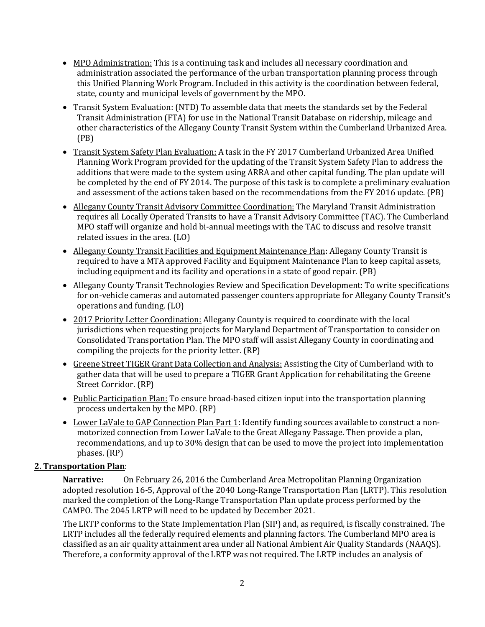- MPO Administration: This is a continuing task and includes all necessary coordination and administration associated the performance of the urban transportation planning process through this Unified Planning Work Program. Included in this activity is the coordination between federal, state, county and municipal levels of government by the MPO.
- Transit System Evaluation: (NTD) To assemble data that meets the standards set by the Federal Transit Administration (FTA) for use in the National Transit Database on ridership, mileage and other characteristics of the Allegany County Transit System within the Cumberland Urbanized Area. (PB)
- Transit System Safety Plan Evaluation: A task in the FY 2017 Cumberland Urbanized Area Unified Planning Work Program provided for the updating of the Transit System Safety Plan to address the additions that were made to the system using ARRA and other capital funding. The plan update will be completed by the end of FY 2014. The purpose of this task is to complete a preliminary evaluation and assessment of the actions taken based on the recommendations from the FY 2016 update. (PB)
- Allegany County Transit Advisory Committee Coordination: The Maryland Transit Administration requires all Locally Operated Transits to have a Transit Advisory Committee (TAC). The Cumberland MPO staff will organize and hold bi-annual meetings with the TAC to discuss and resolve transit related issues in the area. (LO)
- Allegany County Transit Facilities and Equipment Maintenance Plan: Allegany County Transit is required to have a MTA approved Facility and Equipment Maintenance Plan to keep capital assets, including equipment and its facility and operations in a state of good repair. (PB)
- Allegany County Transit Technologies Review and Specification Development: To write specifications for on-vehicle cameras and automated passenger counters appropriate for Allegany County Transit's operations and funding. (LO)
- 2017 Priority Letter Coordination: Allegany County is required to coordinate with the local jurisdictions when requesting projects for Maryland Department of Transportation to consider on Consolidated Transportation Plan. The MPO staff will assist Allegany County in coordinating and compiling the projects for the priority letter. (RP)
- Greene Street TIGER Grant Data Collection and Analysis: Assisting the City of Cumberland with to gather data that will be used to prepare a TIGER Grant Application for rehabilitating the Greene Street Corridor. (RP)
- Public Participation Plan: To ensure broad-based citizen input into the transportation planning process undertaken by the MPO. (RP)
- Lower LaVale to GAP Connection Plan Part 1: Identify funding sources available to construct a nonmotorized connection from Lower LaVale to the Great Allegany Passage. Then provide a plan, recommendations, and up to 30% design that can be used to move the project into implementation phases. (RP)

# **2. Transportation Plan**:

**Narrative:** On February 26, 2016 the Cumberland Area Metropolitan Planning Organization adopted resolution 16-5, Approval of the 2040 Long-Range Transportation Plan (LRTP). This resolution marked the completion of the Long-Range Transportation Plan update process performed by the CAMPO. The 2045 LRTP will need to be updated by December 2021.

The LRTP conforms to the State Implementation Plan (SIP) and, as required, is fiscally constrained. The LRTP includes all the federally required elements and planning factors. The Cumberland MPO area is classified as an air quality attainment area under all National Ambient Air Quality Standards (NAAQS). Therefore, a conformity approval of the LRTP was not required. The LRTP includes an analysis of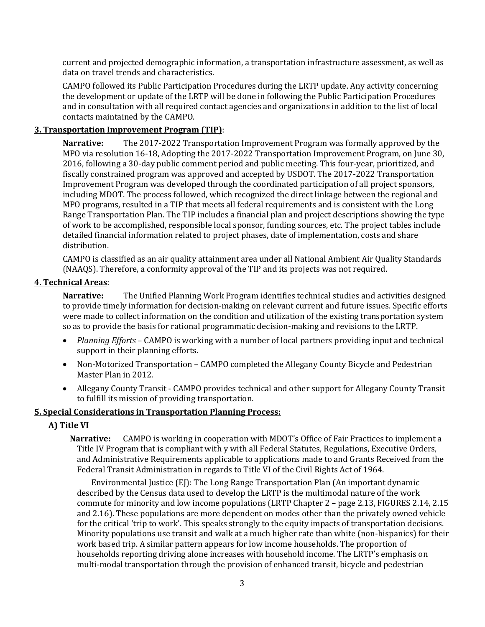current and projected demographic information, a transportation infrastructure assessment, as well as data on travel trends and characteristics.

CAMPO followed its Public Participation Procedures during the LRTP update. Any activity concerning the development or update of the LRTP will be done in following the Public Participation Procedures and in consultation with all required contact agencies and organizations in addition to the list of local contacts maintained by the CAMPO.

# **3. Transportation Improvement Program (TIP)**:

**Narrative:** The 2017-2022 Transportation Improvement Program was formally approved by the MPO via resolution 16-18, Adopting the 2017-2022 Transportation Improvement Program, on June 30, 2016, following a 30-day public comment period and public meeting. This four-year, prioritized, and fiscally constrained program was approved and accepted by USDOT. The 2017-2022 Transportation Improvement Program was developed through the coordinated participation of all project sponsors, including MDOT. The process followed, which recognized the direct linkage between the regional and MPO programs, resulted in a TIP that meets all federal requirements and is consistent with the Long Range Transportation Plan. The TIP includes a financial plan and project descriptions showing the type of work to be accomplished, responsible local sponsor, funding sources, etc. The project tables include detailed financial information related to project phases, date of implementation, costs and share distribution.

CAMPO is classified as an air quality attainment area under all National Ambient Air Quality Standards (NAAQS). Therefore, a conformity approval of the TIP and its projects was not required.

# **4. Technical Areas**:

**Narrative:** The Unified Planning Work Program identifies technical studies and activities designed to provide timely information for decision-making on relevant current and future issues. Specific efforts were made to collect information on the condition and utilization of the existing transportation system so as to provide the basis for rational programmatic decision-making and revisions to the LRTP.

- *Planning Efforts* CAMPO is working with a number of local partners providing input and technical support in their planning efforts.
- Non-Motorized Transportation CAMPO completed the Allegany County Bicycle and Pedestrian Master Plan in 2012.
- Allegany County Transit CAMPO provides technical and other support for Allegany County Transit to fulfill its mission of providing transportation.

# **5. Special Considerations in Transportation Planning Process:**

# **A) Title VI**

**Narrative:** CAMPO is working in cooperation with MDOT's Office of Fair Practices to implement a Title IV Program that is compliant with y with all Federal Statutes, Regulations, Executive Orders, and Administrative Requirements applicable to applications made to and Grants Received from the Federal Transit Administration in regards to Title VI of the Civil Rights Act of 1964.

Environmental Justice (EJ): The Long Range Transportation Plan (An important dynamic described by the Census data used to develop the LRTP is the multimodal nature of the work commute for minority and low income populations (LRTP Chapter 2 – page 2.13, FIGURES 2.14, 2.15 and 2.16). These populations are more dependent on modes other than the privately owned vehicle for the critical 'trip to work'. This speaks strongly to the equity impacts of transportation decisions. Minority populations use transit and walk at a much higher rate than white (non-hispanics) for their work based trip. A similar pattern appears for low income households. The proportion of households reporting driving alone increases with household income. The LRTP's emphasis on multi-modal transportation through the provision of enhanced transit, bicycle and pedestrian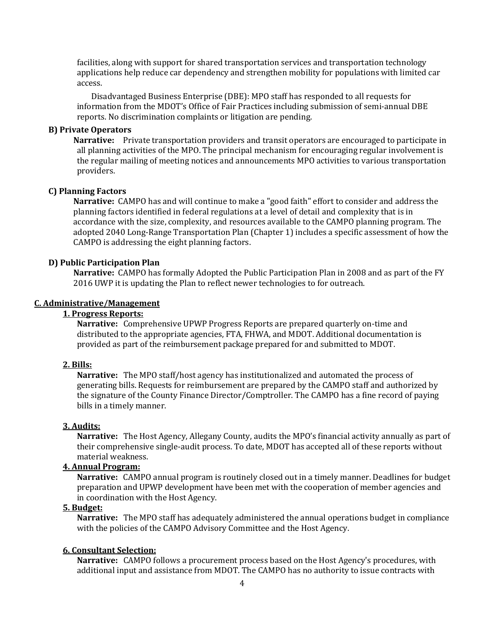facilities, along with support for shared transportation services and transportation technology applications help reduce car dependency and strengthen mobility for populations with limited car access.

Disadvantaged Business Enterprise (DBE): MPO staff has responded to all requests for information from the MDOT's Office of Fair Practices including submission of semi-annual DBE reports. No discrimination complaints or litigation are pending.

### **B) Private Operators**

**Narrative:** Private transportation providers and transit operators are encouraged to participate in all planning activities of the MPO. The principal mechanism for encouraging regular involvement is the regular mailing of meeting notices and announcements MPO activities to various transportation providers.

### **C) Planning Factors**

**Narrative:** CAMPO has and will continue to make a "good faith" effort to consider and address the planning factors identified in federal regulations at a level of detail and complexity that is in accordance with the size, complexity, and resources available to the CAMPO planning program. The adopted 2040 Long-Range Transportation Plan (Chapter 1) includes a specific assessment of how the CAMPO is addressing the eight planning factors.

#### **D) Public Participation Plan**

**Narrative:** CAMPO has formally Adopted the Public Participation Plan in 2008 and as part of the FY 2016 UWP it is updating the Plan to reflect newer technologies to for outreach.

# **C. Administrative/Management**

# **1. Progress Reports:**

**Narrative:** Comprehensive UPWP Progress Reports are prepared quarterly on-time and distributed to the appropriate agencies, FTA, FHWA, and MDOT. Additional documentation is provided as part of the reimbursement package prepared for and submitted to MDOT.

#### **2. Bills:**

**Narrative:** The MPO staff/host agency has institutionalized and automated the process of generating bills. Requests for reimbursement are prepared by the CAMPO staff and authorized by the signature of the County Finance Director/Comptroller. The CAMPO has a fine record of paying bills in a timely manner.

#### **3. Audits:**

**Narrative:** The Host Agency, Allegany County, audits the MPO's financial activity annually as part of their comprehensive single-audit process. To date, MDOT has accepted all of these reports without material weakness.

# **4. Annual Program:**

**Narrative:** CAMPO annual program is routinely closed out in a timely manner. Deadlines for budget preparation and UPWP development have been met with the cooperation of member agencies and in coordination with the Host Agency.

#### **5. Budget:**

**Narrative:** The MPO staff has adequately administered the annual operations budget in compliance with the policies of the CAMPO Advisory Committee and the Host Agency.

#### **6. Consultant Selection:**

**Narrative:** CAMPO follows a procurement process based on the Host Agency's procedures, with additional input and assistance from MDOT. The CAMPO has no authority to issue contracts with